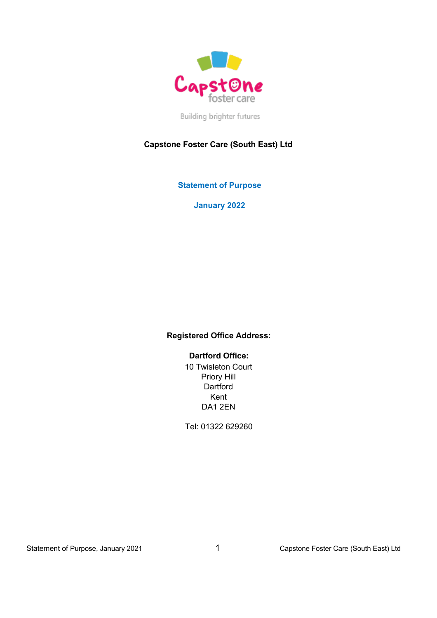

Building brighter futures

# **Capstone Foster Care (South East) Ltd**

**Statement of Purpose**

**January 2022**

## **Registered Office Address:**

 **Dartford Office:**

10 Twisleton Court Priory Hill **Dartford** Kent DA1 2EN

Tel: 01322 629260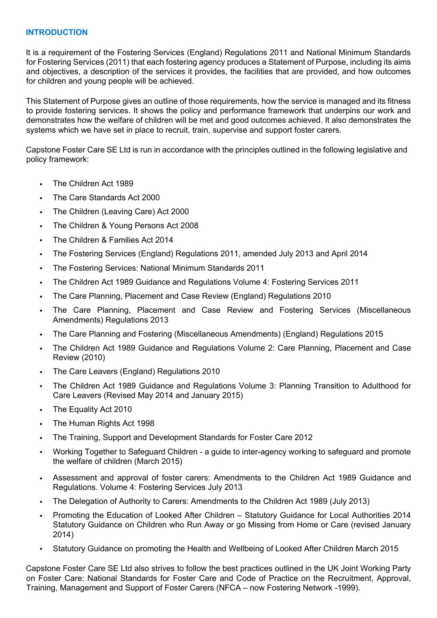## **INTRODUCTION**

It is a requirement of the Fostering Services (England) Regulations 2011 and National Minimum Standards for Fostering Services (2011) that each fostering agency produces a Statement of Purpose, including its aims and objectives, a description of the services it provides, the facilities that are provided, and how outcomes for children and young people will be achieved.

This Statement of Purpose gives an outline of those requirements, how the service is managed and its fitness to provide fostering services. It shows the policy and performance framework that underpins our work and demonstrates how the welfare of children will be met and good outcomes achieved. It also demonstrates the systems which we have set in place to recruit, train, supervise and support foster carers.

Capstone Foster Care SE Ltd is run in accordance with the principles outlined in the following legislative and policy framework:

- The Children Act 1989
- The Care Standards Act 2000
- The Children (Leaving Care) Act 2000
- The Children & Young Persons Act 2008
- The Children & Families Act 2014
- The Fostering Services (England) Regulations 2011, amended July 2013 and April 2014
- The Fostering Services: National Minimum Standards 2011
- The Children Act 1989 Guidance and Regulations Volume 4: Fostering Services 2011
- The Care Planning, Placement and Case Review (England) Regulations 2010
- The Care Planning, Placement and Case Review and Fostering Services (Miscellaneous Amendments) Regulations 2013
- The Care Planning and Fostering (Miscellaneous Amendments) (England) Regulations 2015
- The Children Act 1989 Guidance and Regulations Volume 2: Care Planning, Placement and Case Review (2010)
- The Care Leavers (England) Regulations 2010
- The Children Act 1989 Guidance and Regulations Volume 3: Planning Transition to Adulthood for Care Leavers (Revised May 2014 and January 2015)
- The Equality Act 2010
- The Human Rights Act 1998
- The Training, Support and Development Standards for Foster Care 2012
- Working Together to Safeguard Children a guide to inter-agency working to safeguard and promote the welfare of children (March 2015)
- Assessment and approval of foster carers: Amendments to the Children Act 1989 Guidance and Regulations. Volume 4: Fostering Services July 2013
- The Delegation of Authority to Carers: Amendments to the Children Act 1989 (July 2013)
- Promoting the Education of Looked After Children Statutory Guidance for Local Authorities 2014 Statutory Guidance on Children who Run Away or go Missing from Home or Care (revised January 2014)
- Statutory Guidance on promoting the Health and Wellbeing of Looked After Children March 2015

Capstone Foster Care SE Ltd also strives to follow the best practices outlined in the UK Joint Working Party on Foster Care: National Standards for Foster Care and Code of Practice on the Recruitment, Approval, Training, Management and Support of Foster Carers (NFCA – now Fostering Network -1999).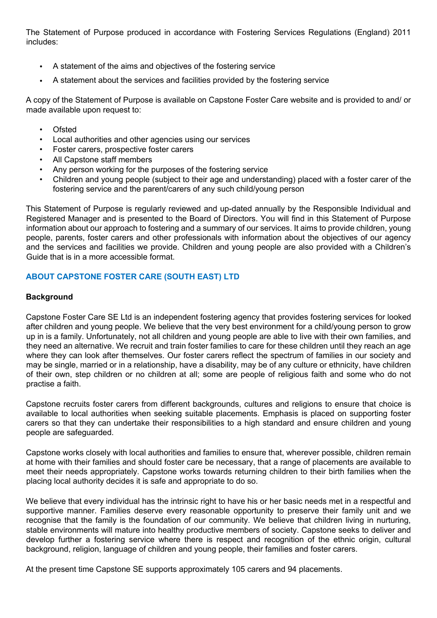The Statement of Purpose produced in accordance with Fostering Services Regulations (England) 2011 includes:

- A statement of the aims and objectives of the fostering service
- A statement about the services and facilities provided by the fostering service

A copy of the Statement of Purpose is available on Capstone Foster Care website and is provided to and/ or made available upon request to:

- Ofsted
- Local authorities and other agencies using our services
- Foster carers, prospective foster carers
- All Capstone staff members
- Any person working for the purposes of the fostering service
- Children and young people (subject to their age and understanding) placed with a foster carer of the fostering service and the parent/carers of any such child/young person

This Statement of Purpose is regularly reviewed and up-dated annually by the Responsible Individual and Registered Manager and is presented to the Board of Directors. You will find in this Statement of Purpose information about our approach to fostering and a summary of our services. It aims to provide children, young people, parents, foster carers and other professionals with information about the objectives of our agency and the services and facilities we provide. Children and young people are also provided with a Children's Guide that is in a more accessible format.

# **ABOUT CAPSTONE FOSTER CARE (SOUTH EAST) LTD**

## **Background**

Capstone Foster Care SE Ltd is an independent fostering agency that provides fostering services for looked after children and young people. We believe that the very best environment for a child/young person to grow up in is a family. Unfortunately, not all children and young people are able to live with their own families, and they need an alternative. We recruit and train foster families to care for these children until they reach an age where they can look after themselves. Our foster carers reflect the spectrum of families in our society and may be single, married or in a relationship, have a disability, may be of any culture or ethnicity, have children of their own, step children or no children at all; some are people of religious faith and some who do not practise a faith.

Capstone recruits foster carers from different backgrounds, cultures and religions to ensure that choice is available to local authorities when seeking suitable placements. Emphasis is placed on supporting foster carers so that they can undertake their responsibilities to a high standard and ensure children and young people are safeguarded.

Capstone works closely with local authorities and families to ensure that, wherever possible, children remain at home with their families and should foster care be necessary, that a range of placements are available to meet their needs appropriately. Capstone works towards returning children to their birth families when the placing local authority decides it is safe and appropriate to do so.

We believe that every individual has the intrinsic right to have his or her basic needs met in a respectful and supportive manner. Families deserve every reasonable opportunity to preserve their family unit and we recognise that the family is the foundation of our community. We believe that children living in nurturing, stable environments will mature into healthy productive members of society. Capstone seeks to deliver and develop further a fostering service where there is respect and recognition of the ethnic origin, cultural background, religion, language of children and young people, their families and foster carers.

At the present time Capstone SE supports approximately 105 carers and 94 placements.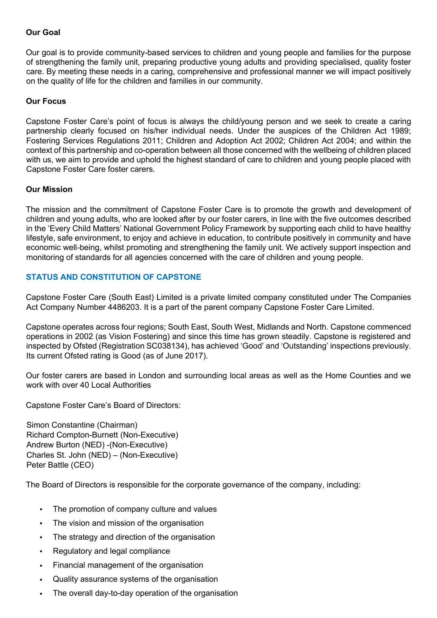## **Our Goal**

Our goal is to provide community-based services to children and young people and families for the purpose of strengthening the family unit, preparing productive young adults and providing specialised, quality foster care. By meeting these needs in a caring, comprehensive and professional manner we will impact positively on the quality of life for the children and families in our community.

## **Our Focus**

Capstone Foster Care's point of focus is always the child/young person and we seek to create a caring partnership clearly focused on his/her individual needs. Under the auspices of the Children Act 1989; Fostering Services Regulations 2011; Children and Adoption Act 2002; Children Act 2004; and within the context of this partnership and co-operation between all those concerned with the wellbeing of children placed with us, we aim to provide and uphold the highest standard of care to children and young people placed with Capstone Foster Care foster carers.

## **Our Mission**

The mission and the commitment of Capstone Foster Care is to promote the growth and development of children and young adults, who are looked after by our foster carers, in line with the five outcomes described in the 'Every Child Matters' National Government Policy Framework by supporting each child to have healthy lifestyle, safe environment, to enjoy and achieve in education, to contribute positively in community and have economic well-being, whilst promoting and strengthening the family unit. We actively support inspection and monitoring of standards for all agencies concerned with the care of children and young people.

## **STATUS AND CONSTITUTION OF CAPSTONE**

Capstone Foster Care (South East) Limited is a private limited company constituted under The Companies Act Company Number 4486203. It is a part of the parent company Capstone Foster Care Limited.

Capstone operates across four regions; South East, South West, Midlands and North. Capstone commenced operations in 2002 (as Vision Fostering) and since this time has grown steadily. Capstone is registered and inspected by Ofsted (Registration SC038134), has achieved 'Good' and 'Outstanding' inspections previously. Its current Ofsted rating is Good (as of June 2017).

Our foster carers are based in London and surrounding local areas as well as the Home Counties and we work with over 40 Local Authorities

Capstone Foster Care's Board of Directors:

Simon Constantine (Chairman) Richard Compton-Burnett (Non-Executive) Andrew Burton (NED) -(Non-Executive) Charles St. John (NED) – (Non-Executive) Peter Battle (CEO)

The Board of Directors is responsible for the corporate governance of the company, including:

- The promotion of company culture and values
- The vision and mission of the organisation
- The strategy and direction of the organisation
- Regulatory and legal compliance
- Financial management of the organisation
- Quality assurance systems of the organisation
- The overall day-to-day operation of the organisation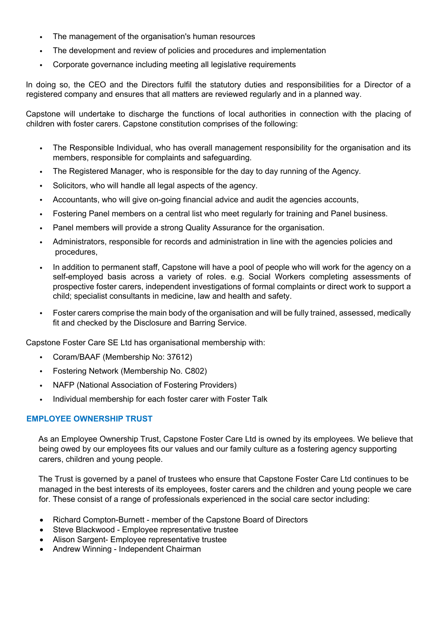- The management of the organisation's human resources
- The development and review of policies and procedures and implementation
- Corporate governance including meeting all legislative requirements

In doing so, the CEO and the Directors fulfil the statutory duties and responsibilities for a Director of a registered company and ensures that all matters are reviewed regularly and in a planned way.

Capstone will undertake to discharge the functions of local authorities in connection with the placing of children with foster carers. Capstone constitution comprises of the following:

- The Responsible Individual, who has overall management responsibility for the organisation and its members, responsible for complaints and safeguarding.
- The Registered Manager, who is responsible for the day to day running of the Agency.
- Solicitors, who will handle all legal aspects of the agency.
- Accountants, who will give on-going financial advice and audit the agencies accounts,
- Fostering Panel members on a central list who meet regularly for training and Panel business.
- Panel members will provide a strong Quality Assurance for the organisation.
- Administrators, responsible for records and administration in line with the agencies policies and procedures,
- In addition to permanent staff, Capstone will have a pool of people who will work for the agency on a self-employed basis across a variety of roles. e.g. Social Workers completing assessments of prospective foster carers, independent investigations of formal complaints or direct work to support a child; specialist consultants in medicine, law and health and safety.
- Foster carers comprise the main body of the organisation and will be fully trained, assessed, medically fit and checked by the Disclosure and Barring Service.

Capstone Foster Care SE Ltd has organisational membership with:

- Coram/BAAF (Membership No: 37612)
- Fostering Network (Membership No. C802)
- NAFP (National Association of Fostering Providers)
- Individual membership for each foster carer with Foster Talk

## **EMPLOYEE OWNERSHIP TRUST**

As an Employee Ownership Trust, Capstone Foster Care Ltd is owned by its employees. We believe that being owed by our employees fits our values and our family culture as a fostering agency supporting carers, children and young people.

The Trust is governed by a panel of trustees who ensure that Capstone Foster Care Ltd continues to be managed in the best interests of its employees, foster carers and the children and young people we care for. These consist of a range of professionals experienced in the social care sector including:

- Richard Compton-Burnett member of the Capstone Board of Directors
- Steve Blackwood Employee representative trustee
- Alison Sargent- Employee representative trustee
- Andrew Winning Independent Chairman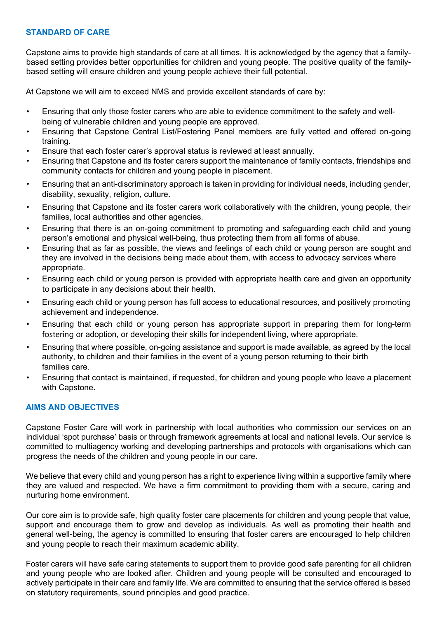## **STANDARD OF CARE**

Capstone aims to provide high standards of care at all times. It is acknowledged by the agency that a familybased setting provides better opportunities for children and young people. The positive quality of the familybased setting will ensure children and young people achieve their full potential.

At Capstone we will aim to exceed NMS and provide excellent standards of care by:

- Ensuring that only those foster carers who are able to evidence commitment to the safety and wellbeing of vulnerable children and young people are approved.
- Ensuring that Capstone Central List/Fostering Panel members are fully vetted and offered on-going training.
- Ensure that each foster carer's approval status is reviewed at least annually.
- Ensuring that Capstone and its foster carers support the maintenance of family contacts, friendships and community contacts for children and young people in placement.
- Ensuring that an anti-discriminatory approach is taken in providing for individual needs, including gender, disability, sexuality, religion, culture.
- Ensuring that Capstone and its foster carers work collaboratively with the children, young people, their families, local authorities and other agencies.
- Ensuring that there is an on-going commitment to promoting and safeguarding each child and young person's emotional and physical well-being, thus protecting them from all forms of abuse.
- Ensuring that as far as possible, the views and feelings of each child or young person are sought and they are involved in the decisions being made about them, with access to advocacy services where appropriate.
- Ensuring each child or young person is provided with appropriate health care and given an opportunity to participate in any decisions about their health.
- Ensuring each child or young person has full access to educational resources, and positively promoting achievement and independence.
- Ensuring that each child or young person has appropriate support in preparing them for long-term fostering or adoption, or developing their skills for independent living, where appropriate.
- Ensuring that where possible, on-going assistance and support is made available, as agreed by the local authority, to children and their families in the event of a young person returning to their birth families care.
- Ensuring that contact is maintained, if requested, for children and young people who leave a placement with Capstone.

# **AIMS AND OBJECTIVES**

Capstone Foster Care will work in partnership with local authorities who commission our services on an individual 'spot purchase' basis or through framework agreements at local and national levels. Our service is committed to multiagency working and developing partnerships and protocols with organisations which can progress the needs of the children and young people in our care.

We believe that every child and young person has a right to experience living within a supportive family where they are valued and respected. We have a firm commitment to providing them with a secure, caring and nurturing home environment.

Our core aim is to provide safe, high quality foster care placements for children and young people that value, support and encourage them to grow and develop as individuals. As well as promoting their health and general well-being, the agency is committed to ensuring that foster carers are encouraged to help children and young people to reach their maximum academic ability.

Foster carers will have safe caring statements to support them to provide good safe parenting for all children and young people who are looked after. Children and young people will be consulted and encouraged to actively participate in their care and family life. We are committed to ensuring that the service offered is based on statutory requirements, sound principles and good practice.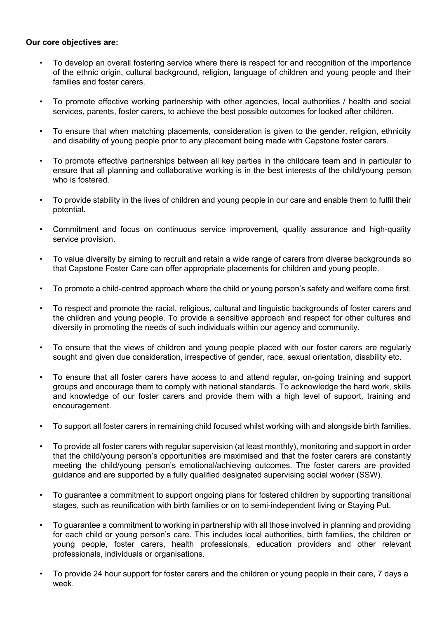#### **Our core objectives are:**

- To develop an overall fostering service where there is respect for and recognition of the importance of the ethnic origin, cultural background, religion, language of children and young people and their families and foster carers.
- To promote effective working partnership with other agencies, local authorities / health and social services, parents, foster carers, to achieve the best possible outcomes for looked after children.
- To ensure that when matching placements, consideration is given to the gender, religion, ethnicity and disability of young people prior to any placement being made with Capstone foster carers.
- To promote effective partnerships between all key parties in the childcare team and in particular to ensure that all planning and collaborative working is in the best interests of the child/young person who is fostered
- To provide stability in the lives of children and young people in our care and enable them to fulfil their potential.
- Commitment and focus on continuous service improvement, quality assurance and high-quality service provision.
- To value diversity by aiming to recruit and retain a wide range of carers from diverse backgrounds so that Capstone Foster Care can offer appropriate placements for children and young people.
- To promote a child-centred approach where the child or young person's safety and welfare come first.
- To respect and promote the racial, religious, cultural and linguistic backgrounds of foster carers and the children and young people. To provide a sensitive approach and respect for other cultures and diversity in promoting the needs of such individuals within our agency and community.
- To ensure that the views of children and young people placed with our foster carers are regularly sought and given due consideration, irrespective of gender, race, sexual orientation, disability etc.
- To ensure that all foster carers have access to and attend regular, on-going training and support groups and encourage them to comply with national standards. To acknowledge the hard work, skills and knowledge of our foster carers and provide them with a high level of support, training and encouragement.
- To support all foster carers in remaining child focused whilst working with and alongside birth families.
- To provide all foster carers with regular supervision (at least monthly), monitoring and support in order that the child/young person's opportunities are maximised and that the foster carers are constantly meeting the child/young person's emotional/achieving outcomes. The foster carers are provided guidance and are supported by a fully qualified designated supervising social worker (SSW).
- To guarantee a commitment to support ongoing plans for fostered children by supporting transitional stages, such as reunification with birth families or on to semi-independent living or Staying Put.
- To guarantee a commitment to working in partnership with all those involved in planning and providing for each child or young person's care. This includes local authorities, birth families, the children or young people, foster carers, health professionals, education providers and other relevant professionals, individuals or organisations.
- To provide 24 hour support for foster carers and the children or young people in their care, 7 days a week.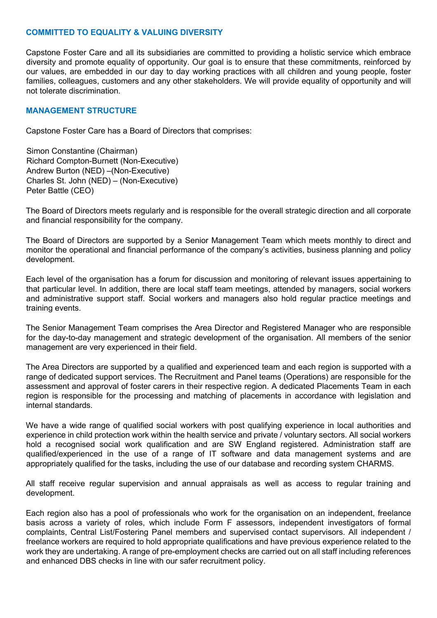## **COMMITTED TO EQUALITY & VALUING DIVERSITY**

Capstone Foster Care and all its subsidiaries are committed to providing a holistic service which embrace diversity and promote equality of opportunity. Our goal is to ensure that these commitments, reinforced by our values, are embedded in our day to day working practices with all children and young people, foster families, colleagues, customers and any other stakeholders. We will provide equality of opportunity and will not tolerate discrimination.

#### **MANAGEMENT STRUCTURE**

Capstone Foster Care has a Board of Directors that comprises:

Simon Constantine (Chairman) Richard Compton-Burnett (Non-Executive) Andrew Burton (NED) –(Non-Executive) Charles St. John (NED) – (Non-Executive) Peter Battle (CEO)

The Board of Directors meets regularly and is responsible for the overall strategic direction and all corporate and financial responsibility for the company.

The Board of Directors are supported by a Senior Management Team which meets monthly to direct and monitor the operational and financial performance of the company's activities, business planning and policy development.

Each level of the organisation has a forum for discussion and monitoring of relevant issues appertaining to that particular level. In addition, there are local staff team meetings, attended by managers, social workers and administrative support staff. Social workers and managers also hold regular practice meetings and training events.

The Senior Management Team comprises the Area Director and Registered Manager who are responsible for the day-to-day management and strategic development of the organisation. All members of the senior management are very experienced in their field.

The Area Directors are supported by a qualified and experienced team and each region is supported with a range of dedicated support services. The Recruitment and Panel teams (Operations) are responsible for the assessment and approval of foster carers in their respective region. A dedicated Placements Team in each region is responsible for the processing and matching of placements in accordance with legislation and internal standards.

We have a wide range of qualified social workers with post qualifying experience in local authorities and experience in child protection work within the health service and private / voluntary sectors. All social workers hold a recognised social work qualification and are SW England registered. Administration staff are qualified/experienced in the use of a range of IT software and data management systems and are appropriately qualified for the tasks, including the use of our database and recording system CHARMS.

All staff receive regular supervision and annual appraisals as well as access to regular training and development.

Each region also has a pool of professionals who work for the organisation on an independent, freelance basis across a variety of roles, which include Form F assessors, independent investigators of formal complaints, Central List/Fostering Panel members and supervised contact supervisors. All independent / freelance workers are required to hold appropriate qualifications and have previous experience related to the work they are undertaking. A range of pre-employment checks are carried out on all staff including references and enhanced DBS checks in line with our safer recruitment policy.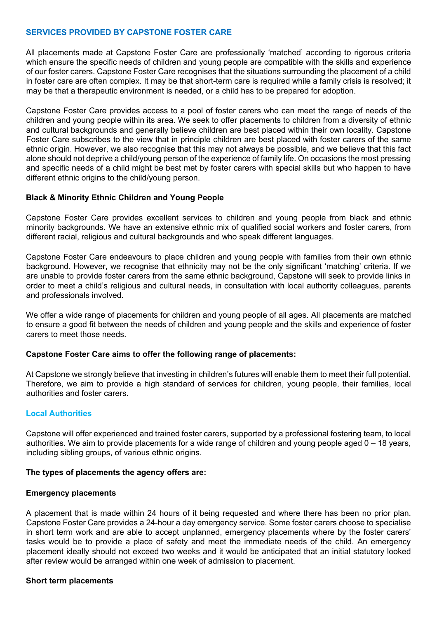## **SERVICES PROVIDED BY CAPSTONE FOSTER CARE**

All placements made at Capstone Foster Care are professionally 'matched' according to rigorous criteria which ensure the specific needs of children and young people are compatible with the skills and experience of our foster carers. Capstone Foster Care recognises that the situations surrounding the placement of a child in foster care are often complex. It may be that short-term care is required while a family crisis is resolved; it may be that a therapeutic environment is needed, or a child has to be prepared for adoption.

Capstone Foster Care provides access to a pool of foster carers who can meet the range of needs of the children and young people within its area. We seek to offer placements to children from a diversity of ethnic and cultural backgrounds and generally believe children are best placed within their own locality. Capstone Foster Care subscribes to the view that in principle children are best placed with foster carers of the same ethnic origin. However, we also recognise that this may not always be possible, and we believe that this fact alone should not deprive a child/young person of the experience of family life. On occasions the most pressing and specific needs of a child might be best met by foster carers with special skills but who happen to have different ethnic origins to the child/young person.

## **Black & Minority Ethnic Children and Young People**

Capstone Foster Care provides excellent services to children and young people from black and ethnic minority backgrounds. We have an extensive ethnic mix of qualified social workers and foster carers, from different racial, religious and cultural backgrounds and who speak different languages.

Capstone Foster Care endeavours to place children and young people with families from their own ethnic background. However, we recognise that ethnicity may not be the only significant 'matching' criteria. If we are unable to provide foster carers from the same ethnic background, Capstone will seek to provide links in order to meet a child's religious and cultural needs, in consultation with local authority colleagues, parents and professionals involved.

We offer a wide range of placements for children and young people of all ages. All placements are matched to ensure a good fit between the needs of children and young people and the skills and experience of foster carers to meet those needs.

## **Capstone Foster Care aims to offer the following range of placements:**

At Capstone we strongly believe that investing in children's futures will enable them to meet their full potential. Therefore, we aim to provide a high standard of services for children, young people, their families, local authorities and foster carers.

## **Local Authorities**

Capstone will offer experienced and trained foster carers, supported by a professional fostering team, to local authorities. We aim to provide placements for a wide range of children and young people aged 0 – 18 years, including sibling groups, of various ethnic origins.

#### **The types of placements the agency offers are:**

#### **Emergency placements**

A placement that is made within 24 hours of it being requested and where there has been no prior plan. Capstone Foster Care provides a 24-hour a day emergency service. Some foster carers choose to specialise in short term work and are able to accept unplanned, emergency placements where by the foster carers' tasks would be to provide a place of safety and meet the immediate needs of the child. An emergency placement ideally should not exceed two weeks and it would be anticipated that an initial statutory looked after review would be arranged within one week of admission to placement.

#### **Short term placements**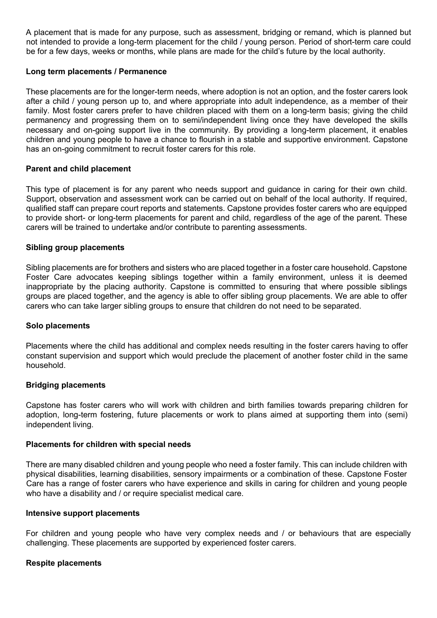A placement that is made for any purpose, such as assessment, bridging or remand, which is planned but not intended to provide a long-term placement for the child / young person. Period of short-term care could be for a few days, weeks or months, while plans are made for the child's future by the local authority.

#### **Long term placements / Permanence**

These placements are for the longer-term needs, where adoption is not an option, and the foster carers look after a child / young person up to, and where appropriate into adult independence, as a member of their family. Most foster carers prefer to have children placed with them on a long-term basis; giving the child permanency and progressing them on to semi/independent living once they have developed the skills necessary and on-going support live in the community. By providing a long-term placement, it enables children and young people to have a chance to flourish in a stable and supportive environment. Capstone has an on-going commitment to recruit foster carers for this role.

#### **Parent and child placement**

This type of placement is for any parent who needs support and guidance in caring for their own child. Support, observation and assessment work can be carried out on behalf of the local authority. If required, qualified staff can prepare court reports and statements. Capstone provides foster carers who are equipped to provide short- or long-term placements for parent and child, regardless of the age of the parent. These carers will be trained to undertake and/or contribute to parenting assessments.

#### **Sibling group placements**

Sibling placements are for brothers and sisters who are placed together in a foster care household. Capstone Foster Care advocates keeping siblings together within a family environment, unless it is deemed inappropriate by the placing authority. Capstone is committed to ensuring that where possible siblings groups are placed together, and the agency is able to offer sibling group placements. We are able to offer carers who can take larger sibling groups to ensure that children do not need to be separated.

#### **Solo placements**

Placements where the child has additional and complex needs resulting in the foster carers having to offer constant supervision and support which would preclude the placement of another foster child in the same household.

#### **Bridging placements**

Capstone has foster carers who will work with children and birth families towards preparing children for adoption, long-term fostering, future placements or work to plans aimed at supporting them into (semi) independent living.

#### **Placements for children with special needs**

There are many disabled children and young people who need a foster family. This can include children with physical disabilities, learning disabilities, sensory impairments or a combination of these. Capstone Foster Care has a range of foster carers who have experience and skills in caring for children and young people who have a disability and / or require specialist medical care.

#### **Intensive support placements**

For children and young people who have very complex needs and / or behaviours that are especially challenging. These placements are supported by experienced foster carers.

#### **Respite placements**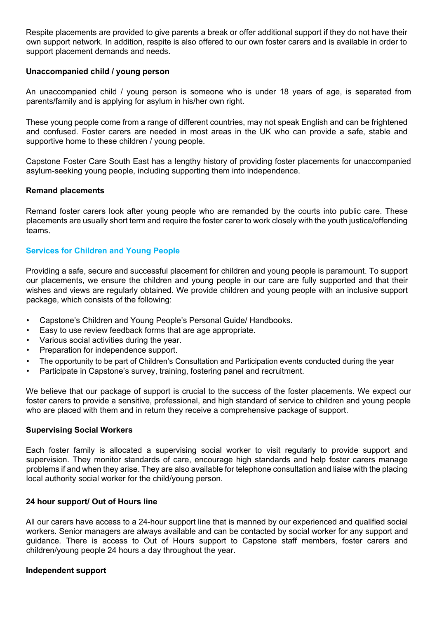Respite placements are provided to give parents a break or offer additional support if they do not have their own support network. In addition, respite is also offered to our own foster carers and is available in order to support placement demands and needs.

#### **Unaccompanied child / young person**

An unaccompanied child / young person is someone who is under 18 years of age, is separated from parents/family and is applying for asylum in his/her own right.

These young people come from a range of different countries, may not speak English and can be frightened and confused. Foster carers are needed in most areas in the UK who can provide a safe, stable and supportive home to these children / young people.

Capstone Foster Care South East has a lengthy history of providing foster placements for unaccompanied asylum-seeking young people, including supporting them into independence.

#### **Remand placements**

Remand foster carers look after young people who are remanded by the courts into public care. These placements are usually short term and require the foster carer to work closely with the youth justice/offending teams.

#### **Services for Children and Young People**

Providing a safe, secure and successful placement for children and young people is paramount. To support our placements, we ensure the children and young people in our care are fully supported and that their wishes and views are regularly obtained. We provide children and young people with an inclusive support package, which consists of the following:

- Capstone's Children and Young People's Personal Guide/ Handbooks.
- Easy to use review feedback forms that are age appropriate.
- Various social activities during the year.
- Preparation for independence support.
- The opportunity to be part of Children's Consultation and Participation events conducted during the year
- Participate in Capstone's survey, training, fostering panel and recruitment.

We believe that our package of support is crucial to the success of the foster placements. We expect our foster carers to provide a sensitive, professional, and high standard of service to children and young people who are placed with them and in return they receive a comprehensive package of support.

#### **Supervising Social Workers**

Each foster family is allocated a supervising social worker to visit regularly to provide support and supervision. They monitor standards of care, encourage high standards and help foster carers manage problems if and when they arise. They are also available for telephone consultation and liaise with the placing local authority social worker for the child/young person.

#### **24 hour support/ Out of Hours line**

All our carers have access to a 24-hour support line that is manned by our experienced and qualified social workers. Senior managers are always available and can be contacted by social worker for any support and guidance. There is access to Out of Hours support to Capstone staff members, foster carers and children/young people 24 hours a day throughout the year.

#### **Independent support**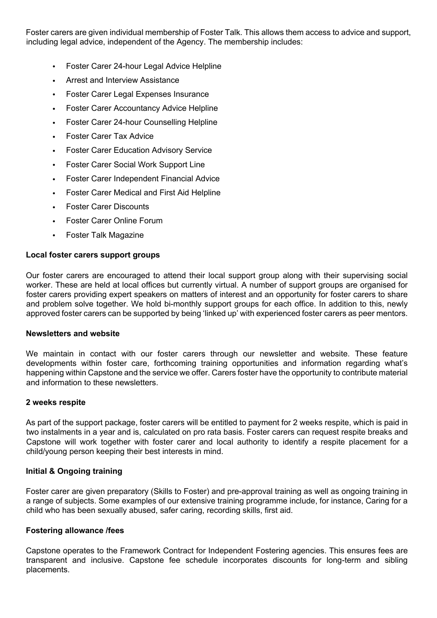Foster carers are given individual membership of Foster Talk. This allows them access to advice and support, including legal advice, independent of the Agency. The membership includes:

- Foster Carer 24-hour Legal Advice Helpline
- Arrest and Interview Assistance
- Foster Carer Legal Expenses Insurance
- Foster Carer Accountancy Advice Helpline
- Foster Carer 24-hour Counselling Helpline
- Foster Carer Tax Advice
- Foster Carer Education Advisory Service
- Foster Carer Social Work Support Line
- Foster Carer Independent Financial Advice
- Foster Carer Medical and First Aid Helpline
- Foster Carer Discounts
- Foster Carer Online Forum
- Foster Talk Magazine

#### **Local foster carers support groups**

Our foster carers are encouraged to attend their local support group along with their supervising social worker. These are held at local offices but currently virtual. A number of support groups are organised for foster carers providing expert speakers on matters of interest and an opportunity for foster carers to share and problem solve together. We hold bi-monthly support groups for each office. In addition to this, newly approved foster carers can be supported by being 'linked up' with experienced foster carers as peer mentors.

#### **Newsletters and website**

We maintain in contact with our foster carers through our newsletter and website. These feature developments within foster care, forthcoming training opportunities and information regarding what's happening within Capstone and the service we offer. Carers foster have the opportunity to contribute material and information to these newsletters.

#### **2 weeks respite**

As part of the support package, foster carers will be entitled to payment for 2 weeks respite, which is paid in two instalments in a year and is, calculated on pro rata basis. Foster carers can request respite breaks and Capstone will work together with foster carer and local authority to identify a respite placement for a child/young person keeping their best interests in mind.

## **Initial & Ongoing training**

Foster carer are given preparatory (Skills to Foster) and pre-approval training as well as ongoing training in a range of subjects. Some examples of our extensive training programme include, for instance, Caring for a child who has been sexually abused, safer caring, recording skills, first aid.

## **Fostering allowance /fees**

Capstone operates to the Framework Contract for Independent Fostering agencies. This ensures fees are transparent and inclusive. Capstone fee schedule incorporates discounts for long-term and sibling placements.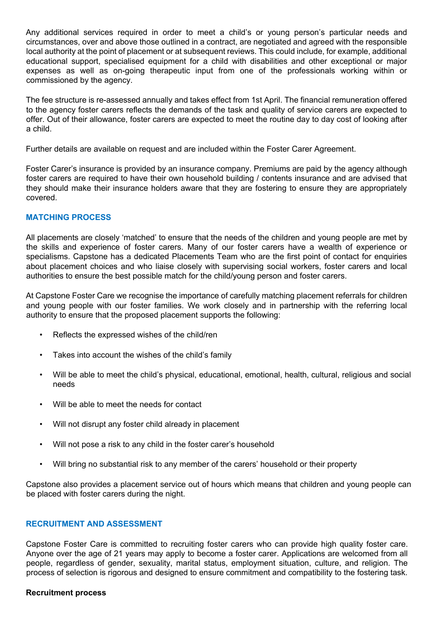Any additional services required in order to meet a child's or young person's particular needs and circumstances, over and above those outlined in a contract, are negotiated and agreed with the responsible local authority at the point of placement or at subsequent reviews. This could include, for example, additional educational support, specialised equipment for a child with disabilities and other exceptional or major expenses as well as on-going therapeutic input from one of the professionals working within or commissioned by the agency.

The fee structure is re-assessed annually and takes effect from 1st April. The financial remuneration offered to the agency foster carers reflects the demands of the task and quality of service carers are expected to offer. Out of their allowance, foster carers are expected to meet the routine day to day cost of looking after a child.

Further details are available on request and are included within the Foster Carer Agreement.

Foster Carer's insurance is provided by an insurance company. Premiums are paid by the agency although foster carers are required to have their own household building / contents insurance and are advised that they should make their insurance holders aware that they are fostering to ensure they are appropriately covered.

## **MATCHING PROCESS**

All placements are closely 'matched' to ensure that the needs of the children and young people are met by the skills and experience of foster carers. Many of our foster carers have a wealth of experience or specialisms. Capstone has a dedicated Placements Team who are the first point of contact for enquiries about placement choices and who liaise closely with supervising social workers, foster carers and local authorities to ensure the best possible match for the child/young person and foster carers.

At Capstone Foster Care we recognise the importance of carefully matching placement referrals for children and young people with our foster families. We work closely and in partnership with the referring local authority to ensure that the proposed placement supports the following:

- Reflects the expressed wishes of the child/ren
- Takes into account the wishes of the child's family
- Will be able to meet the child's physical, educational, emotional, health, cultural, religious and social needs
- Will be able to meet the needs for contact
- Will not disrupt any foster child already in placement
- Will not pose a risk to any child in the foster carer's household
- Will bring no substantial risk to any member of the carers' household or their property

Capstone also provides a placement service out of hours which means that children and young people can be placed with foster carers during the night.

## **RECRUITMENT AND ASSESSMENT**

Capstone Foster Care is committed to recruiting foster carers who can provide high quality foster care. Anyone over the age of 21 years may apply to become a foster carer. Applications are welcomed from all people, regardless of gender, sexuality, marital status, employment situation, culture, and religion. The process of selection is rigorous and designed to ensure commitment and compatibility to the fostering task.

## **Recruitment process**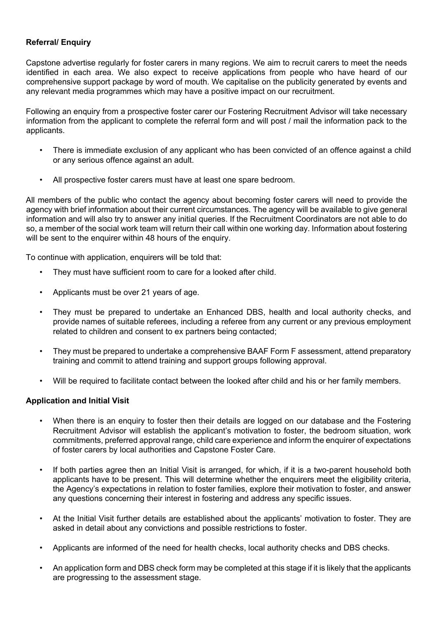## **Referral/ Enquiry**

Capstone advertise regularly for foster carers in many regions. We aim to recruit carers to meet the needs identified in each area. We also expect to receive applications from people who have heard of our comprehensive support package by word of mouth. We capitalise on the publicity generated by events and any relevant media programmes which may have a positive impact on our recruitment.

Following an enquiry from a prospective foster carer our Fostering Recruitment Advisor will take necessary information from the applicant to complete the referral form and will post / mail the information pack to the applicants.

- There is immediate exclusion of any applicant who has been convicted of an offence against a child or any serious offence against an adult.
- All prospective foster carers must have at least one spare bedroom.

All members of the public who contact the agency about becoming foster carers will need to provide the agency with brief information about their current circumstances. The agency will be available to give general information and will also try to answer any initial queries. If the Recruitment Coordinators are not able to do so, a member of the social work team will return their call within one working day. Information about fostering will be sent to the enquirer within 48 hours of the enquiry.

To continue with application, enquirers will be told that:

- They must have sufficient room to care for a looked after child.
- Applicants must be over 21 years of age.
- They must be prepared to undertake an Enhanced DBS, health and local authority checks, and provide names of suitable referees, including a referee from any current or any previous employment related to children and consent to ex partners being contacted;
- They must be prepared to undertake a comprehensive BAAF Form F assessment, attend preparatory training and commit to attend training and support groups following approval.
- Will be required to facilitate contact between the looked after child and his or her family members.

## **Application and Initial Visit**

- When there is an enquiry to foster then their details are logged on our database and the Fostering Recruitment Advisor will establish the applicant's motivation to foster, the bedroom situation, work commitments, preferred approval range, child care experience and inform the enquirer of expectations of foster carers by local authorities and Capstone Foster Care.
- If both parties agree then an Initial Visit is arranged, for which, if it is a two-parent household both applicants have to be present. This will determine whether the enquirers meet the eligibility criteria, the Agency's expectations in relation to foster families, explore their motivation to foster, and answer any questions concerning their interest in fostering and address any specific issues.
- At the Initial Visit further details are established about the applicants' motivation to foster. They are asked in detail about any convictions and possible restrictions to foster.
- Applicants are informed of the need for health checks, local authority checks and DBS checks.
- An application form and DBS check form may be completed at this stage if it is likely that the applicants are progressing to the assessment stage.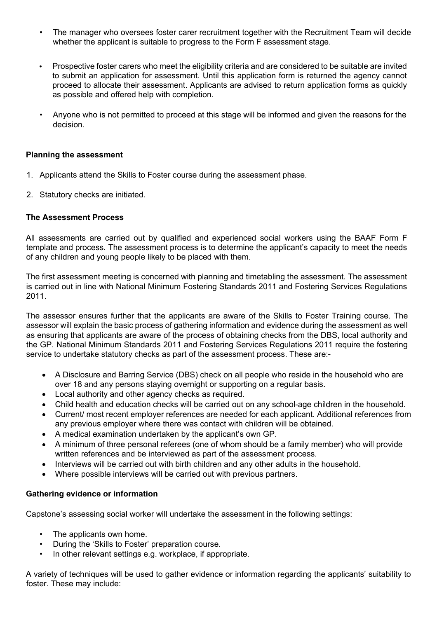- The manager who oversees foster carer recruitment together with the Recruitment Team will decide whether the applicant is suitable to progress to the Form F assessment stage.
- Prospective foster carers who meet the eligibility criteria and are considered to be suitable are invited to submit an application for assessment. Until this application form is returned the agency cannot proceed to allocate their assessment. Applicants are advised to return application forms as quickly as possible and offered help with completion.
- Anyone who is not permitted to proceed at this stage will be informed and given the reasons for the decision.

## **Planning the assessment**

- 1. Applicants attend the Skills to Foster course during the assessment phase.
- 2. Statutory checks are initiated.

## **The Assessment Process**

All assessments are carried out by qualified and experienced social workers using the BAAF Form F template and process. The assessment process is to determine the applicant's capacity to meet the needs of any children and young people likely to be placed with them.

The first assessment meeting is concerned with planning and timetabling the assessment. The assessment is carried out in line with National Minimum Fostering Standards 2011 and Fostering Services Regulations 2011.

The assessor ensures further that the applicants are aware of the Skills to Foster Training course. The assessor will explain the basic process of gathering information and evidence during the assessment as well as ensuring that applicants are aware of the process of obtaining checks from the DBS, local authority and the GP. National Minimum Standards 2011 and Fostering Services Regulations 2011 require the fostering service to undertake statutory checks as part of the assessment process. These are:-

- A Disclosure and Barring Service (DBS) check on all people who reside in the household who are over 18 and any persons staying overnight or supporting on a regular basis.
- Local authority and other agency checks as required.
- Child health and education checks will be carried out on any school-age children in the household.
- Current/ most recent employer references are needed for each applicant. Additional references from any previous employer where there was contact with children will be obtained.
- A medical examination undertaken by the applicant's own GP.
- A minimum of three personal referees (one of whom should be a family member) who will provide written references and be interviewed as part of the assessment process.
- Interviews will be carried out with birth children and any other adults in the household.
- Where possible interviews will be carried out with previous partners.

## **Gathering evidence or information**

Capstone's assessing social worker will undertake the assessment in the following settings:

- The applicants own home.
- During the 'Skills to Foster' preparation course.
- In other relevant settings e.g. workplace, if appropriate.

A variety of techniques will be used to gather evidence or information regarding the applicants' suitability to foster. These may include: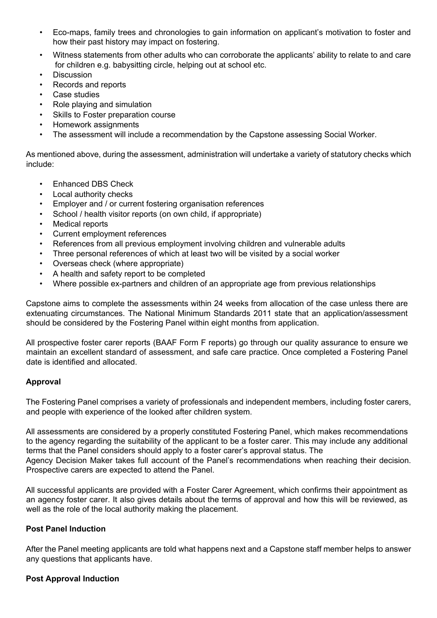- Eco-maps, family trees and chronologies to gain information on applicant's motivation to foster and how their past history may impact on fostering.
- Witness statements from other adults who can corroborate the applicants' ability to relate to and care for children e.g. babysitting circle, helping out at school etc.
- **Discussion**
- Records and reports
- Case studies
- Role playing and simulation
- Skills to Foster preparation course
- Homework assignments
- The assessment will include a recommendation by the Capstone assessing Social Worker.

As mentioned above, during the assessment, administration will undertake a variety of statutory checks which include:

- Enhanced DBS Check
- Local authority checks
- Employer and / or current fostering organisation references
- School / health visitor reports (on own child, if appropriate)
- Medical reports
- Current employment references
- References from all previous employment involving children and vulnerable adults
- Three personal references of which at least two will be visited by a social worker
- Overseas check (where appropriate)
- A health and safety report to be completed
- Where possible ex-partners and children of an appropriate age from previous relationships

Capstone aims to complete the assessments within 24 weeks from allocation of the case unless there are extenuating circumstances. The National Minimum Standards 2011 state that an application/assessment should be considered by the Fostering Panel within eight months from application.

All prospective foster carer reports (BAAF Form F reports) go through our quality assurance to ensure we maintain an excellent standard of assessment, and safe care practice. Once completed a Fostering Panel date is identified and allocated.

## **Approval**

The Fostering Panel comprises a variety of professionals and independent members, including foster carers, and people with experience of the looked after children system.

All assessments are considered by a properly constituted Fostering Panel, which makes recommendations to the agency regarding the suitability of the applicant to be a foster carer. This may include any additional terms that the Panel considers should apply to a foster carer's approval status. The

Agency Decision Maker takes full account of the Panel's recommendations when reaching their decision. Prospective carers are expected to attend the Panel.

All successful applicants are provided with a Foster Carer Agreement, which confirms their appointment as an agency foster carer. It also gives details about the terms of approval and how this will be reviewed, as well as the role of the local authority making the placement.

## **Post Panel Induction**

After the Panel meeting applicants are told what happens next and a Capstone staff member helps to answer any questions that applicants have.

## **Post Approval Induction**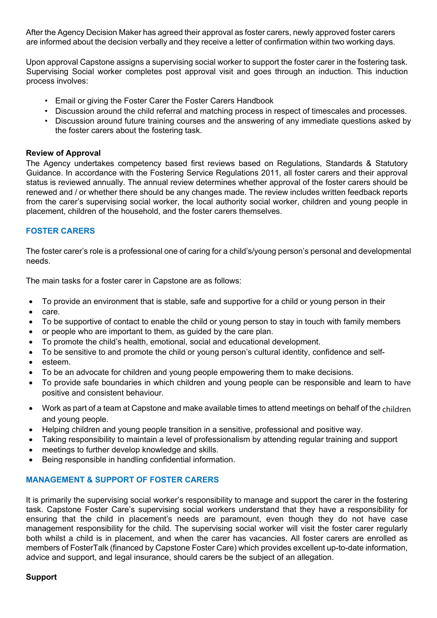After the Agency Decision Maker has agreed their approval as foster carers, newly approved foster carers are informed about the decision verbally and they receive a letter of confirmation within two working days.

Upon approval Capstone assigns a supervising social worker to support the foster carer in the fostering task. Supervising Social worker completes post approval visit and goes through an induction. This induction process involves:

- Email or giving the Foster Carer the Foster Carers Handbook
- Discussion around the child referral and matching process in respect of timescales and processes.
- Discussion around future training courses and the answering of any immediate questions asked by the foster carers about the fostering task.

## **Review of Approval**

The Agency undertakes competency based first reviews based on Regulations, Standards & Statutory Guidance. In accordance with the Fostering Service Regulations 2011, all foster carers and their approval status is reviewed annually. The annual review determines whether approval of the foster carers should be renewed and / or whether there should be any changes made. The review includes written feedback reports from the carer's supervising social worker, the local authority social worker, children and young people in placement, children of the household, and the foster carers themselves.

## **FOSTER CARERS**

The foster carer's role is a professional one of caring for a child's/young person's personal and developmental needs.

The main tasks for a foster carer in Capstone are as follows:

- To provide an environment that is stable, safe and supportive for a child or young person in their
- care.
- To be supportive of contact to enable the child or young person to stay in touch with family members
- or people who are important to them, as guided by the care plan.
- To promote the child's health, emotional, social and educational development.
- To be sensitive to and promote the child or young person's cultural identity, confidence and self-
- esteem.
- To be an advocate for children and young people empowering them to make decisions.
- To provide safe boundaries in which children and young people can be responsible and learn to have positive and consistent behaviour.
- Work as part of a team at Capstone and make available times to attend meetings on behalf of the children and young people.
- Helping children and young people transition in a sensitive, professional and positive way.
- Taking responsibility to maintain a level of professionalism by attending regular training and support
- meetings to further develop knowledge and skills.
- Being responsible in handling confidential information.

## **MANAGEMENT & SUPPORT OF FOSTER CARERS**

It is primarily the supervising social worker's responsibility to manage and support the carer in the fostering task. Capstone Foster Care's supervising social workers understand that they have a responsibility for ensuring that the child in placement's needs are paramount, even though they do not have case management responsibility for the child. The supervising social worker will visit the foster carer regularly both whilst a child is in placement, and when the carer has vacancies. All foster carers are enrolled as members of FosterTalk (financed by Capstone Foster Care) which provides excellent up-to-date information, advice and support, and legal insurance, should carers be the subject of an allegation.

## **Support**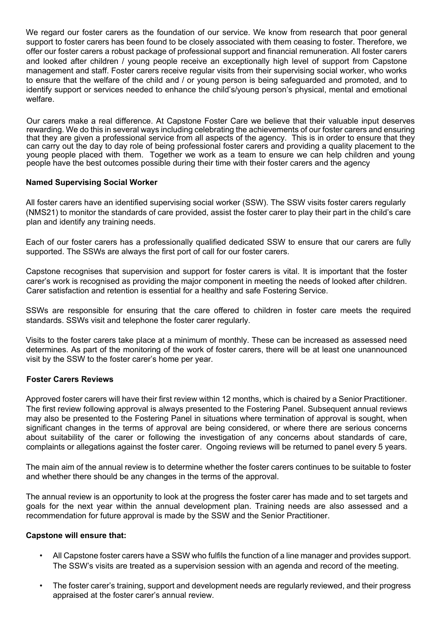We regard our foster carers as the foundation of our service. We know from research that poor general support to foster carers has been found to be closely associated with them ceasing to foster. Therefore, we offer our foster carers a robust package of professional support and financial remuneration. All foster carers and looked after children / young people receive an exceptionally high level of support from Capstone management and staff. Foster carers receive regular visits from their supervising social worker, who works to ensure that the welfare of the child and / or young person is being safeguarded and promoted, and to identify support or services needed to enhance the child's/young person's physical, mental and emotional welfare.

Our carers make a real difference. At Capstone Foster Care we believe that their valuable input deserves rewarding. We do this in several ways including celebrating the achievements of our foster carers and ensuring that they are given a professional service from all aspects of the agency. This is in order to ensure that they can carry out the day to day role of being professional foster carers and providing a quality placement to the young people placed with them. Together we work as a team to ensure we can help children and young people have the best outcomes possible during their time with their foster carers and the agency

## **Named Supervising Social Worker**

All foster carers have an identified supervising social worker (SSW). The SSW visits foster carers regularly (NMS21) to monitor the standards of care provided, assist the foster carer to play their part in the child's care plan and identify any training needs.

Each of our foster carers has a professionally qualified dedicated SSW to ensure that our carers are fully supported. The SSWs are always the first port of call for our foster carers.

Capstone recognises that supervision and support for foster carers is vital. It is important that the foster carer's work is recognised as providing the major component in meeting the needs of looked after children. Carer satisfaction and retention is essential for a healthy and safe Fostering Service.

SSWs are responsible for ensuring that the care offered to children in foster care meets the required standards. SSWs visit and telephone the foster carer regularly.

Visits to the foster carers take place at a minimum of monthly. These can be increased as assessed need determines. As part of the monitoring of the work of foster carers, there will be at least one unannounced visit by the SSW to the foster carer's home per year.

## **Foster Carers Reviews**

Approved foster carers will have their first review within 12 months, which is chaired by a Senior Practitioner. The first review following approval is always presented to the Fostering Panel. Subsequent annual reviews may also be presented to the Fostering Panel in situations where termination of approval is sought, when significant changes in the terms of approval are being considered, or where there are serious concerns about suitability of the carer or following the investigation of any concerns about standards of care, complaints or allegations against the foster carer. Ongoing reviews will be returned to panel every 5 years.

The main aim of the annual review is to determine whether the foster carers continues to be suitable to foster and whether there should be any changes in the terms of the approval.

The annual review is an opportunity to look at the progress the foster carer has made and to set targets and goals for the next year within the annual development plan. Training needs are also assessed and a recommendation for future approval is made by the SSW and the Senior Practitioner.

## **Capstone will ensure that:**

- All Capstone foster carers have a SSW who fulfils the function of a line manager and provides support. The SSW's visits are treated as a supervision session with an agenda and record of the meeting.
- The foster carer's training, support and development needs are regularly reviewed, and their progress appraised at the foster carer's annual review.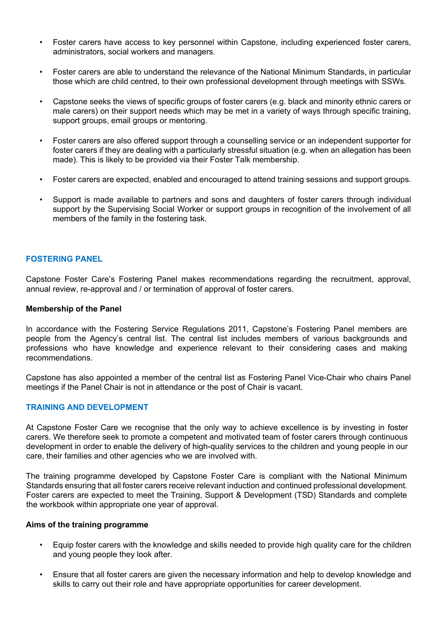- Foster carers have access to key personnel within Capstone, including experienced foster carers, administrators, social workers and managers.
- Foster carers are able to understand the relevance of the National Minimum Standards, in particular those which are child centred, to their own professional development through meetings with SSWs.
- Capstone seeks the views of specific groups of foster carers (e.g. black and minority ethnic carers or male carers) on their support needs which may be met in a variety of ways through specific training, support groups, email groups or mentoring.
- Foster carers are also offered support through a counselling service or an independent supporter for foster carers if they are dealing with a particularly stressful situation (e.g. when an allegation has been made). This is likely to be provided via their Foster Talk membership.
- Foster carers are expected, enabled and encouraged to attend training sessions and support groups.
- Support is made available to partners and sons and daughters of foster carers through individual support by the Supervising Social Worker or support groups in recognition of the involvement of all members of the family in the fostering task.

## **FOSTERING PANEL**

Capstone Foster Care's Fostering Panel makes recommendations regarding the recruitment, approval, annual review, re-approval and / or termination of approval of foster carers.

#### **Membership of the Panel**

In accordance with the Fostering Service Regulations 2011, Capstone's Fostering Panel members are people from the Agency's central list. The central list includes members of various backgrounds and professions who have knowledge and experience relevant to their considering cases and making recommendations.

Capstone has also appointed a member of the central list as Fostering Panel Vice-Chair who chairs Panel meetings if the Panel Chair is not in attendance or the post of Chair is vacant.

## **TRAINING AND DEVELOPMENT**

At Capstone Foster Care we recognise that the only way to achieve excellence is by investing in foster carers. We therefore seek to promote a competent and motivated team of foster carers through continuous development in order to enable the delivery of high-quality services to the children and young people in our care, their families and other agencies who we are involved with.

The training programme developed by Capstone Foster Care is compliant with the National Minimum Standards ensuring that all foster carers receive relevant induction and continued professional development. Foster carers are expected to meet the Training, Support & Development (TSD) Standards and complete the workbook within appropriate one year of approval.

#### **Aims of the training programme**

- Equip foster carers with the knowledge and skills needed to provide high quality care for the children and young people they look after.
- Ensure that all foster carers are given the necessary information and help to develop knowledge and skills to carry out their role and have appropriate opportunities for career development.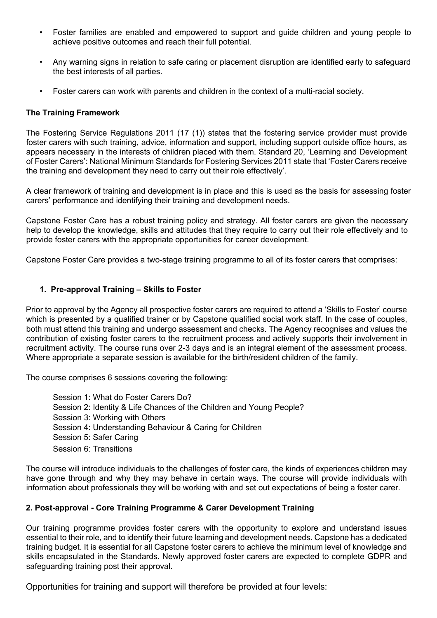- Foster families are enabled and empowered to support and guide children and young people to achieve positive outcomes and reach their full potential.
- Any warning signs in relation to safe caring or placement disruption are identified early to safeguard the best interests of all parties.
- Foster carers can work with parents and children in the context of a multi-racial society.

## **The Training Framework**

The Fostering Service Regulations 2011 (17 (1)) states that the fostering service provider must provide foster carers with such training, advice, information and support, including support outside office hours, as appears necessary in the interests of children placed with them. Standard 20, 'Learning and Development of Foster Carers': National Minimum Standards for Fostering Services 2011 state that 'Foster Carers receive the training and development they need to carry out their role effectively'.

A clear framework of training and development is in place and this is used as the basis for assessing foster carers' performance and identifying their training and development needs.

Capstone Foster Care has a robust training policy and strategy. All foster carers are given the necessary help to develop the knowledge, skills and attitudes that they require to carry out their role effectively and to provide foster carers with the appropriate opportunities for career development.

Capstone Foster Care provides a two-stage training programme to all of its foster carers that comprises:

## **1. Pre-approval Training – Skills to Foster**

Prior to approval by the Agency all prospective foster carers are required to attend a 'Skills to Foster' course which is presented by a qualified trainer or by Capstone qualified social work staff. In the case of couples, both must attend this training and undergo assessment and checks. The Agency recognises and values the contribution of existing foster carers to the recruitment process and actively supports their involvement in recruitment activity. The course runs over 2-3 days and is an integral element of the assessment process. Where appropriate a separate session is available for the birth/resident children of the family.

The course comprises 6 sessions covering the following:

Session 1: What do Foster Carers Do? Session 2: Identity & Life Chances of the Children and Young People? Session 3: Working with Others Session 4: Understanding Behaviour & Caring for Children Session 5: Safer Caring Session 6: Transitions

The course will introduce individuals to the challenges of foster care, the kinds of experiences children may have gone through and why they may behave in certain ways. The course will provide individuals with information about professionals they will be working with and set out expectations of being a foster carer.

# **2. Post-approval - Core Training Programme & Carer Development Training**

Our training programme provides foster carers with the opportunity to explore and understand issues essential to their role, and to identify their future learning and development needs. Capstone has a dedicated training budget. It is essential for all Capstone foster carers to achieve the minimum level of knowledge and skills encapsulated in the Standards. Newly approved foster carers are expected to complete GDPR and safeguarding training post their approval.

Opportunities for training and support will therefore be provided at four levels: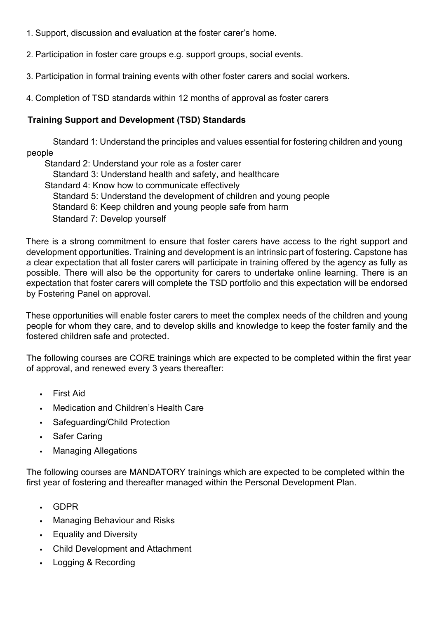- 1. Support, discussion and evaluation at the foster carer's home.
- 2. Participation in foster care groups e.g. support groups, social events.
- 3. Participation in formal training events with other foster carers and social workers.
- 4. Completion of TSD standards within 12 months of approval as foster carers

# **Training Support and Development (TSD) Standards**

 Standard 1: Understand the principles and values essential for fostering children and young people

Standard 2: Understand your role as a foster carer Standard 3: Understand health and safety, and healthcare Standard 4: Know how to communicate effectively Standard 5: Understand the development of children and young people Standard 6: Keep children and young people safe from harm Standard 7: Develop yourself

There is a strong commitment to ensure that foster carers have access to the right support and development opportunities. Training and development is an intrinsic part of fostering. Capstone has a clear expectation that all foster carers will participate in training offered by the agency as fully as possible. There will also be the opportunity for carers to undertake online learning. There is an expectation that foster carers will complete the TSD portfolio and this expectation will be endorsed by Fostering Panel on approval.

These opportunities will enable foster carers to meet the complex needs of the children and young people for whom they care, and to develop skills and knowledge to keep the foster family and the fostered children safe and protected.

The following courses are CORE trainings which are expected to be completed within the first year of approval, and renewed every 3 years thereafter:

- First Aid
- Medication and Children's Health Care
- Safeguarding/Child Protection
- Safer Caring
- Managing Allegations

The following courses are MANDATORY trainings which are expected to be completed within the first year of fostering and thereafter managed within the Personal Development Plan.

- GDPR
- Managing Behaviour and Risks
- Equality and Diversity
- Child Development and Attachment
- Logging & Recording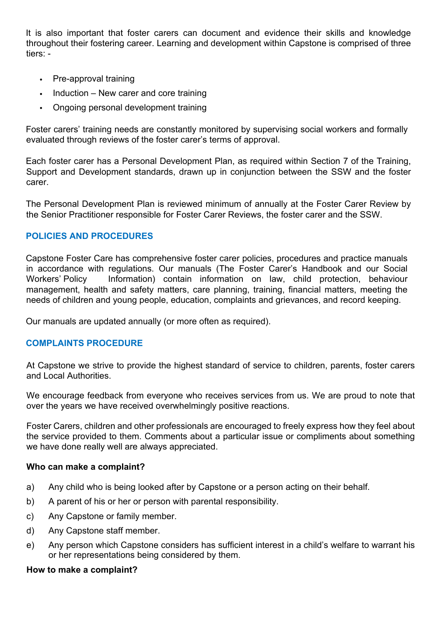It is also important that foster carers can document and evidence their skills and knowledge throughout their fostering career. Learning and development within Capstone is comprised of three tiers: -

- Pre-approval training
- Induction New carer and core training
- Ongoing personal development training

Foster carers' training needs are constantly monitored by supervising social workers and formally evaluated through reviews of the foster carer's terms of approval.

Each foster carer has a Personal Development Plan, as required within Section 7 of the Training, Support and Development standards, drawn up in conjunction between the SSW and the foster carer.

The Personal Development Plan is reviewed minimum of annually at the Foster Carer Review by the Senior Practitioner responsible for Foster Carer Reviews, the foster carer and the SSW.

# **POLICIES AND PROCEDURES**

Capstone Foster Care has comprehensive foster carer policies, procedures and practice manuals in accordance with regulations. Our manuals (The Foster Carer's Handbook and our Social Workers' Policy Information) contain information on law, child protection, behaviour management, health and safety matters, care planning, training, financial matters, meeting the needs of children and young people, education, complaints and grievances, and record keeping.

Our manuals are updated annually (or more often as required).

# **COMPLAINTS PROCEDURE**

At Capstone we strive to provide the highest standard of service to children, parents, foster carers and Local Authorities.

We encourage feedback from everyone who receives services from us. We are proud to note that over the years we have received overwhelmingly positive reactions.

Foster Carers, children and other professionals are encouraged to freely express how they feel about the service provided to them. Comments about a particular issue or compliments about something we have done really well are always appreciated.

# **Who can make a complaint?**

- a) Any child who is being looked after by Capstone or a person acting on their behalf.
- b) A parent of his or her or person with parental responsibility.
- c) Any Capstone or family member.
- d) Any Capstone staff member.
- e) Any person which Capstone considers has sufficient interest in a child's welfare to warrant his or her representations being considered by them.

# **How to make a complaint?**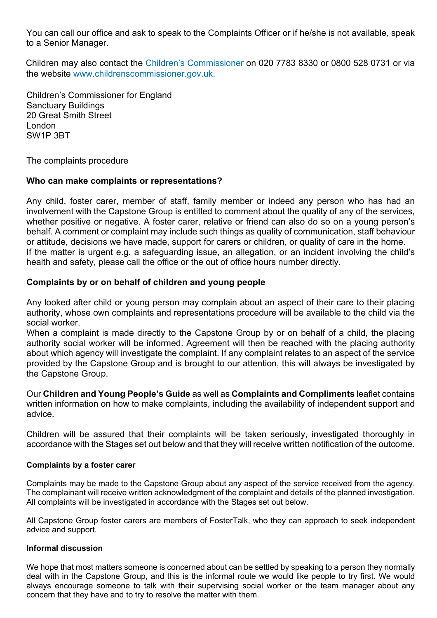You can call our office and ask to speak to the Complaints Officer or if he/she is not available, speak to a Senior Manager.

Children may also contact the Children's Commissioner on 020 7783 8330 or 0800 528 0731 or via the website www.childrenscommissioner.gov.uk.

Children's Commissioner for England Sanctuary Buildings 20 Great Smith Street London SW1P 3BT

The complaints procedure

# **Who can make complaints or representations?**

Any child, foster carer, member of staff, family member or indeed any person who has had an involvement with the Capstone Group is entitled to comment about the quality of any of the services, whether positive or negative. A foster carer, relative or friend can also do so on a young person's behalf. A comment or complaint may include such things as quality of communication, staff behaviour or attitude, decisions we have made, support for carers or children, or quality of care in the home. If the matter is urgent e.g. a safeguarding issue, an allegation, or an incident involving the child's health and safety, please call the office or the out of office hours number directly.

# **Complaints by or on behalf of children and young people**

Any looked after child or young person may complain about an aspect of their care to their placing authority, whose own complaints and representations procedure will be available to the child via the social worker.

When a complaint is made directly to the Capstone Group by or on behalf of a child, the placing authority social worker will be informed. Agreement will then be reached with the placing authority about which agency will investigate the complaint. If any complaint relates to an aspect of the service provided by the Capstone Group and is brought to our attention, this will always be investigated by the Capstone Group.

Our **Children and Young People's Guide** as well as **Complaints and Compliments** leaflet contains written information on how to make complaints, including the availability of independent support and advice.

Children will be assured that their complaints will be taken seriously, investigated thoroughly in accordance with the Stages set out below and that they will receive written notification of the outcome.

## **Complaints by a foster carer**

Complaints may be made to the Capstone Group about any aspect of the service received from the agency. The complainant will receive written acknowledgment of the complaint and details of the planned investigation. All complaints will be investigated in accordance with the Stages set out below.

All Capstone Group foster carers are members of FosterTalk, who they can approach to seek independent advice and support.

## **Informal discussion**

We hope that most matters someone is concerned about can be settled by speaking to a person they normally deal with in the Capstone Group, and this is the informal route we would like people to try first. We would always encourage someone to talk with their supervising social worker or the team manager about any concern that they have and to try to resolve the matter with them.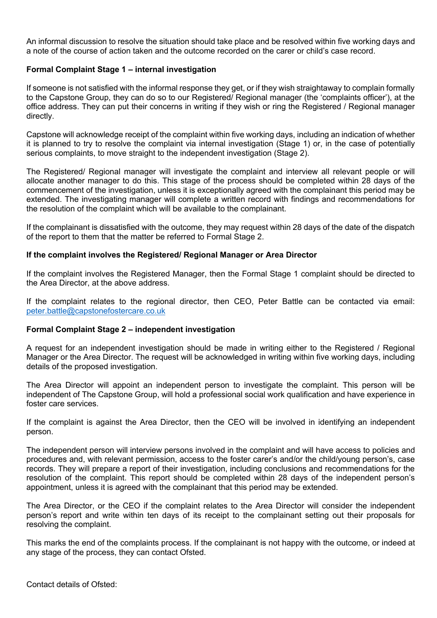An informal discussion to resolve the situation should take place and be resolved within five working days and a note of the course of action taken and the outcome recorded on the carer or child's case record.

## **Formal Complaint Stage 1 – internal investigation**

If someone is not satisfied with the informal response they get, or if they wish straightaway to complain formally to the Capstone Group, they can do so to our Registered/ Regional manager (the 'complaints officer'), at the office address. They can put their concerns in writing if they wish or ring the Registered / Regional manager directly.

Capstone will acknowledge receipt of the complaint within five working days, including an indication of whether it is planned to try to resolve the complaint via internal investigation (Stage 1) or, in the case of potentially serious complaints, to move straight to the independent investigation (Stage 2).

The Registered/ Regional manager will investigate the complaint and interview all relevant people or will allocate another manager to do this. This stage of the process should be completed within 28 days of the commencement of the investigation, unless it is exceptionally agreed with the complainant this period may be extended. The investigating manager will complete a written record with findings and recommendations for the resolution of the complaint which will be available to the complainant.

If the complainant is dissatisfied with the outcome, they may request within 28 days of the date of the dispatch of the report to them that the matter be referred to Formal Stage 2.

## **If the complaint involves the Registered/ Regional Manager or Area Director**

If the complaint involves the Registered Manager, then the Formal Stage 1 complaint should be directed to the Area Director, at the above address.

If the complaint relates to the regional director, then CEO, Peter Battle can be contacted via email: peter.battle@capstonefostercare.co.uk

## **Formal Complaint Stage 2 – independent investigation**

A request for an independent investigation should be made in writing either to the Registered / Regional Manager or the Area Director. The request will be acknowledged in writing within five working days, including details of the proposed investigation.

The Area Director will appoint an independent person to investigate the complaint. This person will be independent of The Capstone Group, will hold a professional social work qualification and have experience in foster care services.

If the complaint is against the Area Director, then the CEO will be involved in identifying an independent person.

The independent person will interview persons involved in the complaint and will have access to policies and procedures and, with relevant permission, access to the foster carer's and/or the child/young person's, case records. They will prepare a report of their investigation, including conclusions and recommendations for the resolution of the complaint. This report should be completed within 28 days of the independent person's appointment, unless it is agreed with the complainant that this period may be extended.

The Area Director, or the CEO if the complaint relates to the Area Director will consider the independent person's report and write within ten days of its receipt to the complainant setting out their proposals for resolving the complaint.

This marks the end of the complaints process. If the complainant is not happy with the outcome, or indeed at any stage of the process, they can contact Ofsted.